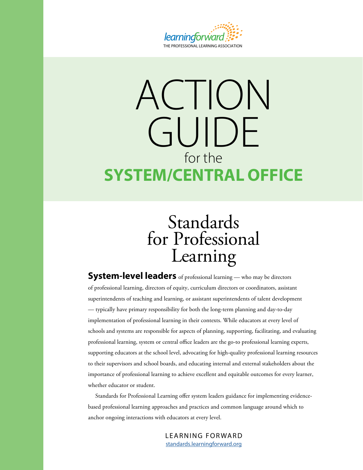

# ACTION GUIDE for the **SYSTEM/CENTRAL OFFICE**

## Standards for Professional Learning

**System-level leaders** of professional learning — who may be directors of professional learning, directors of equity, curriculum directors or coordinators, assistant superintendents of teaching and learning, or assistant superintendents of talent development — typically have primary responsibility for both the long-term planning and day-to-day implementation of professional learning in their contexts. While educators at every level of schools and systems are responsible for aspects of planning, supporting, facilitating, and evaluating professional learning, system or central office leaders are the go-to professional learning experts, supporting educators at the school level, advocating for high-quality professional learning resources to their supervisors and school boards, and educating internal and external stakeholders about the importance of professional learning to achieve excellent and equitable outcomes for every learner, whether educator or student.

Standards for Professional Learning offer system leaders guidance for implementing evidencebased professional learning approaches and practices and common language around which to anchor ongoing interactions with educators at every level.

> LEARNING FORWARD [standards.learningforward.org](https://standards.learningforward.org/)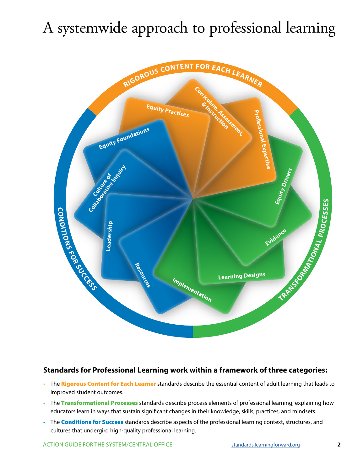## A systemwide approach to professional learning



#### **Standards for Professional Learning work within a framework of three categories:**

- The **Rigorous Content for Each Learner** standards describe the essential content of adult learning that leads to improved student outcomes.
- The Transformational Processes standards describe process elements of professional learning, explaining how educators learn in ways that sustain significant changes in their knowledge, skills, practices, and mindsets.
- The **Conditions for Success** standards describe aspects of the professional learning context, structures, and cultures that undergird high-quality professional learning.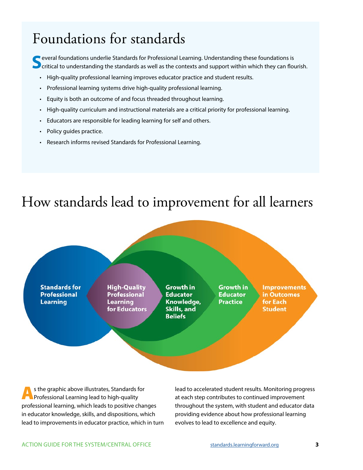### Foundations for standards

**S** everal foundations underlie Standards for Professional Learning. Understanding these foundations is critical to understanding the standards as well as the contexts and support within which they can flourish.

- High-quality professional learning improves educator practice and student results.
- Professional learning systems drive high-quality professional learning.
- Equity is both an outcome of and focus threaded throughout learning.
- High-quality curriculum and instructional materials are a critical priority for professional learning.
- Educators are responsible for leading learning for self and others.
- Policy guides practice.
- Research informs revised Standards for Professional Learning.

### How standards lead to improvement for all learners



As the graphic above illustrates, Standards for Professional Learning lead to high-quality professional learning, which leads to positive changes in educator knowledge, skills, and dispositions, which lead to improvements in educator practice, which in turn

lead to accelerated student results. Monitoring progress at each step contributes to continued improvement throughout the system, with student and educator data providing evidence about how professional learning evolves to lead to excellence and equity.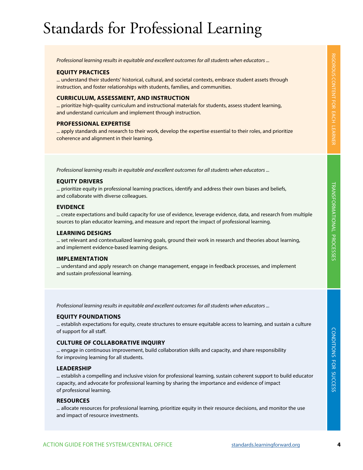## Standards for Professional Learning

*Professional learning results in equitable and excellent outcomes for all students when educators ...* 

#### **EQUITY PRACTICES**

... understand their students' historical, cultural, and societal contexts, embrace student assets through instruction, and foster relationships with students, families, and communities.

#### **CURRICULUM, ASSESSMENT, AND INSTRUCTION**

... prioritize high-quality curriculum and instructional materials for students, assess student learning, and understand curriculum and implement through instruction.

#### **PROFESSIONAL EXPERTISE**

... apply standards and research to their work, develop the expertise essential to their roles, and prioritize coherence and alignment in their learning.

*Professional learning results in equitable and excellent outcomes for all students when educators ...* 

#### **EQUITY DRIVERS**

... prioritize equity in professional learning practices, identify and address their own biases and beliefs, and collaborate with diverse colleagues.

#### **EVIDENCE**

... create expectations and build capacity for use of evidence, leverage evidence, data, and research from multiple sources to plan educator learning, and measure and report the impact of professional learning.

#### **LEARNING DESIGNS**

... set relevant and contextualized learning goals, ground their work in research and theories about learning, and implement evidence-based learning designs.

#### **IMPLEMENTATION**

... understand and apply research on change management, engage in feedback processes, and implement and sustain professional learning.

*Professional learning results in equitable and excellent outcomes for all students when educators ...* 

#### **EQUITY FOUNDATIONS**

... establish expectations for equity, create structures to ensure equitable access to learning, and sustain a culture of support for all staff.

#### **CULTURE OF COLLABORATIVE INQUIRY**

... engage in continuous improvement, build collaboration skills and capacity, and share responsibility for improving learning for all students.

#### **LEADERSHIP**

... establish a compelling and inclusive vision for professional learning, sustain coherent support to build educator capacity, and advocate for professional learning by sharing the importance and evidence of impact of professional learning.

#### **RESOURCES**

... allocate resources for professional learning, prioritize equity in their resource decisions, and monitor the use and impact of resource investments.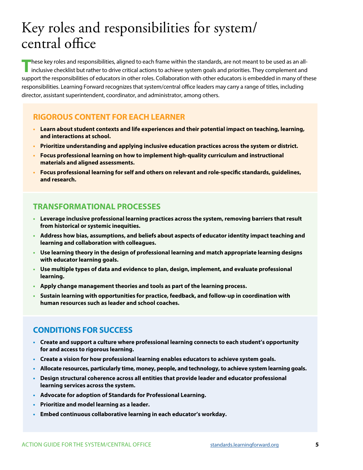## Key roles and responsibilities for system/ central office

**T**hese key roles and responsibilities, aligned to each frame within the standards, are not meant to be used as an allinclusive checklist but rather to drive critical actions to achieve system goals and priorities. They complement and support the responsibilities of educators in other roles. Collaboration with other educators is embedded in many of these responsibilities. Learning Forward recognizes that system/central office leaders may carry a range of titles, including director, assistant superintendent, coordinator, and administrator, among others.

#### **RIGOROUS CONTENT FOR EACH LEARNER**

- **• Learn about student contexts and life experiences and their potential impact on teaching, learning, and interactions at school.**
- **• Prioritize understanding and applying inclusive education practices across the system or district.**
- **• Focus professional learning on how to implement high-quality curriculum and instructional materials and aligned assessments.**
- **• Focus professional learning for self and others on relevant and role-specific standards, guidelines, and research.**

#### **TRANSFORMATIONAL PROCESSES**

- **• Leverage inclusive professional learning practices across the system, removing barriers that result from historical or systemic inequities.**
- **• Address how bias, assumptions, and beliefs about aspects of educator identity impact teaching and learning and collaboration with colleagues.**
- **• Use learning theory in the design of professional learning and match appropriate learning designs with educator learning goals.**
- **• Use multiple types of data and evidence to plan, design, implement, and evaluate professional learning.**
- **• Apply change management theories and tools as part of the learning process.**
- **• Sustain learning with opportunities for practice, feedback, and follow-up in coordination with human resources such as leader and school coaches.**

#### **CONDITIONS FOR SUCCESS**

- **• Create and support a culture where professional learning connects to each student's opportunity for and access to rigorous learning.**
- **• Create a vision for how professional learning enables educators to achieve system goals.**
- **• Allocate resources, particularly time, money, people, and technology, to achieve system learning goals.**
- **• Design structural coherence across all entities that provide leader and educator professional learning services across the system.**
- **• Advocate for adoption of Standards for Professional Learning.**
- **• Prioritize and model learning as a leader.**
- **• Embed continuous collaborative learning in each educator's workday.**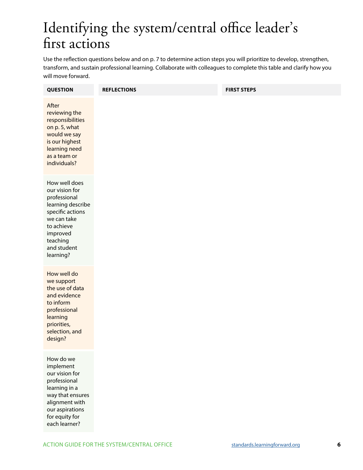## Identifying the system/central office leader's first actions

Use the reflection questions below and on p. 7 to determine action steps you will prioritize to develop, strengthen, transform, and sustain professional learning. Collaborate with colleagues to complete this table and clarify how you will move forward.

| <b>QUESTION</b>                                                                                                                                                           | <b>REFLECTIONS</b> | <b>FIRST STEPS</b> |
|---------------------------------------------------------------------------------------------------------------------------------------------------------------------------|--------------------|--------------------|
| After<br>reviewing the<br>responsibilities<br>on p. 5, what<br>would we say<br>is our highest<br>learning need<br>as a team or<br>individuals?                            |                    |                    |
| How well does<br>our vision for<br>professional<br>learning describe<br>specific actions<br>we can take<br>to achieve<br>improved<br>teaching<br>and student<br>learning? |                    |                    |
| How well do<br>we support<br>the use of data<br>and evidence<br>to inform<br>professional<br>learning<br>priorities,<br>selection, and<br>design?                         |                    |                    |
| How do we<br>implement<br>our vision for<br>professional<br>learning in a<br>way that ensures<br>alignment with<br>our aspirations<br>for equity for<br>each learner?     |                    |                    |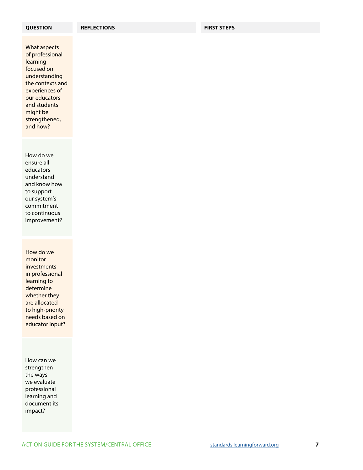What aspects of professional learning focused on understanding the contexts and experiences of our educators and students might be strengthened, and how?

How do we ensure all educators understand and know how to support our system's commitment to continuous improvement?

How do we monitor investments in professional learning to determine whether they are allocated to high-priority needs based on educator input?

How can we strengthen the ways we evaluate professional learning and document its impact?